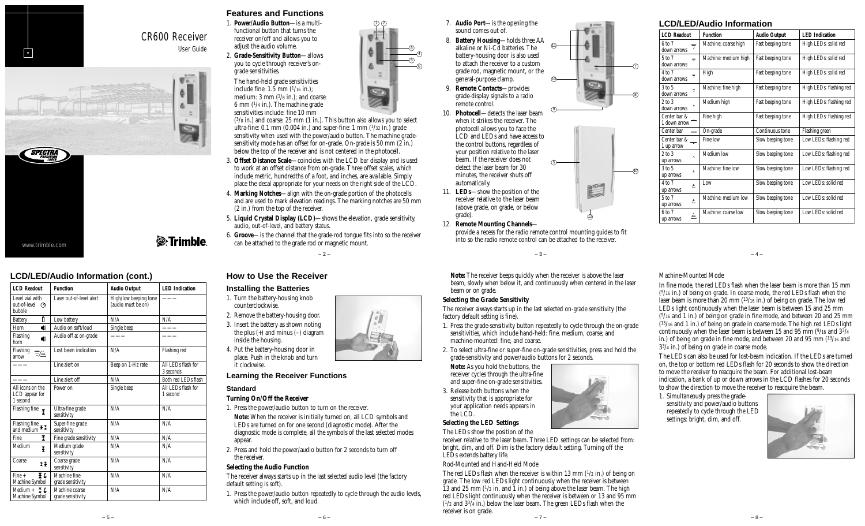

# CR600 Receiver User Guide



# **LCD/LED/Audio Information (cont.)**

| <b>LCD</b> Readout                                                                               | <b>Function</b>                     | <b>Audio Output</b>                         | <b>LED</b> Indication           |
|--------------------------------------------------------------------------------------------------|-------------------------------------|---------------------------------------------|---------------------------------|
| Level vial with<br>out-of-level (9<br><b>bubble</b>                                              | Laser out-of-level alert            | High/low beeping tone<br>(audio must be on) |                                 |
| Ñ<br><b>Battery</b>                                                                              | Low battery                         | N/A                                         | N/A                             |
| $\blacktriangleleft$<br>Horn                                                                     | Audio on soft/loud                  | Single beep                                 |                                 |
| Flashing<br>$\blacktriangleleft)$<br>horn                                                        | Audio off at on-grade               |                                             |                                 |
| Flashing<br>▼▲<br>arrow                                                                          | Lost beam indication                | N/A                                         | Flashing red                    |
|                                                                                                  | Line alert on                       | Beep on 1-Hz rate                           | All LEDs flash for<br>3 seconds |
|                                                                                                  | Line alert off                      | N/A                                         | Both red LEDs flash             |
| All icons on the<br>LCD appear for<br>1 second                                                   | Power on                            | Single beep                                 | All LEDs flash for<br>1 second  |
| Flashing fine $\mathbf{x}$                                                                       | Ultra-fine grade<br>sensitivity     | N/A                                         | N/A                             |
| Flashing fine $\overline{\mathbf{f}}$ $\overline{\mathbf{f}}$ and medium $\overline{\mathbf{f}}$ | Super-fine grade<br>sensitivity     | N/A                                         | N/A                             |
| Ŧ<br>Fine                                                                                        | Fine grade sensitivity              | N/A                                         | N/A                             |
| Medium<br>¥                                                                                      | Medium grade<br>sensitivity         | N/A                                         | N/A                             |
| Coarse<br>¥¥                                                                                     | Coarse grade<br>sensitivity         | N/A                                         | N/A                             |
| ¥ι<br>Fine +<br>Machine Symbol                                                                   | Machine fine<br>grade sensitivity   | N/A                                         | N/A                             |
| Medium + $\overline{f}$ $\overline{L}$<br>Machine Symbol                                         | Machine coarse<br>grade sensitivity | N/A                                         | N/A                             |

# **Features and Functions**

- 1. **Power/Audio Button**—is a multifunctional button that turns the receiver on/off and allows you to
	- adjust the audio volume. 2. **Grade-Sensitivity Button**—allows you to cycle through receiver's ongrade sensitivities.
		- The hand-held grade sensitivities include fine:  $1.5$  mm  $(1/16$  in.): medium: 3 mm (1/8 in.); and coarse: 6 mm (1/4 in.). The machine grade sensitivities include: fine 10 mm

 $(3/8$  in.) and coarse: 25 mm  $(1 \text{ in.})$ . This button also allows you to select ultra-fine:  $0.1$  mm  $(0.004$  in.) and super-fine:  $1$  mm  $(1/32 \text{ in.})$  grade sensitivity when used with the power/audio button. The machine gradesensitivity mode has an offset for on-grade. On-grade is 50 mm  $(2 \text{ in.})$ below the top of the receiver and is not centered in the photocell.

1) (2

- 3. **Offset Distance Scale**—coincides with the LCD bar display and is used to work at an offset distance from on-grade. Three offset scales, which include metric, hundredths of a foot, and inches, are available. Simply place the decal appropriate for your needs on the right side of the LCD.
- 4. **Marking Notches**—align with the on-grade portion of the photocells and are used to mark elevation readings. The marking notches are 50 mm (2 in.) from the top of the receiver.
- 5. **Liquid Crystal Display (LCD)**—shows the elevation, grade sensitivity, audio, out-of-level, and battery status.
- 6. **Groove**—is the channel that the grade-rod tongue fits into so the receiver can be attached to the grade rod or magnetic mount.

 $-2-$ 

# **How to Use the Receiver**

#### **Installing the Batteries**

- 1. Turn the battery-housing knob counterclockwise.
- 2. Remove the battery-housing door.
- 3. Insert the battery as shown noting the plus (+) and minus (–) diagram inside the housing.
- 4. Put the battery-housing door in place. Push in the knob and turn it clockwise.

# **Learning the Receiver Functions**

#### **Standard**

### **Turning On/Off the Receiver**

- 1. Press the power/audio button to turn on the receiver.
- **Note:** When the receiver is initially turned on, all LCD symbols and LEDs are turned on for one second (diagnostic mode). After the diagnostic mode is complete, all the symbols of the last selected modes appear.
- 2. Press and hold the power/audio button for 2 seconds to turn off the receiver.

### **Selecting the Audio Function**

The receiver always starts up in the last selected audio level (the factory default setting is soft).

1. Press the power/audio button repeatedly to cycle through the audio levels, which include off, soft, and loud

– 6 –

- 07. **Audio Port**—is the opening the sound comes out of.
- 08. **Battery Housing**—holds three AA alkaline or Ni-Cd batteries. The battery-housing door is also used to attach the receiver to a custom grade rod, magnetic mount, or the general-purpose clamp. 09. **Remote Contacts**—provides 11 10
- grade-display signals to a radio remote control.
- 10. **Photocell**—detects the laser beam when it strikes the receiver. The photocell allows you to face the LCD and LEDs and have access to the control buttons, regardless of your position relative to the laser beam. If the receiver does not detect the laser beam for 30 minutes, the receiver shuts off automatically.
- 11. **LEDs**—show the position of the receiver relative to the laser beam (above grade, on grade, or below grade).
- 12. **Remote Mounting Channels** provide a recess for the radio remote control mounting guides to fit
	- into so the radio remote control can be attached to the receiver. – 3 –

5

9

**Note:** The receiver beeps quickly when the receiver is above the laser beam, slowly when below it, and continuously when centered in the laser beam or on grade.

### **Selecting the Grade Sensitivity**

The receiver always starts up in the last selected on-grade sensitivity (the factory default setting is fine).

- 1. Press the grade-sensitivity button repeatedly to cycle through the on-grade sensitivities, which include hand-held: fine, medium, coarse; and machine-mounted: fine, and coarse.
- 2. To select ultra-fine or super-fine on-grade sensitivities, press and hold the grade-sensitivity and power/audio buttons for 2 seconds.

receiver relative to the laser beam. Three LED settings can be selected from: bright, dim, and off. Dim is the factory default setting. Turning off the

The red LEDs flash when the receiver is within 13 mm  $(1/2 \text{ in.})$  of being on grade. The low red LEDs light continuously when the receiver is between

– 7 –

**Note:** As you hold the buttons, the receiver cycles through the ultra-fine and super-fine on-grade sensitivities. 3. Release both buttons when the sensitivity that is appropriate for

your application needs appears in

Rod-Mounted and Hand-Held Mode

**Selecting the LED Settings** The LEDs show the position of the

LEDs extends battery life.

the LCD.



### **LCD/LED/Audio Information**

| <b>LCD Readout</b>                                   | <b>Function</b>      | <b>Audio Output</b> | <b>LED</b> Indication   |  |
|------------------------------------------------------|----------------------|---------------------|-------------------------|--|
| 6 to 7<br>₹<br>down arrows                           | Machine: coarse high | Fast beeping tone   | High LEDs: solid red    |  |
| 5 to 7<br>₩<br>down arrows                           | Machine: medium high | Fast beeping tone   | High LEDs: solid red    |  |
| 4 to 7<br>₹<br>down arrows                           | High                 | Fast beeping tone   | High LEDs: solid red    |  |
| $3$ to $5$<br>$\overline{\mathbf{v}}$<br>down arrows | Machine: fine high   | Fast beeping tone   | High LEDs: flashing red |  |
| $2$ to $3$<br>v<br>down arrows                       | Medium high          | Fast beeping tone   | High LEDs: flashing red |  |
| Center bar &<br>1 down arrow                         | Fine high            | Fast beeping tone   | High LEDs: flashing red |  |
| Center bar                                           | On-grade             | Continuous tone     | Flashing green          |  |
| Center bar &<br>1 up arrow                           | Fine low             | Slow beeping tone   | Low LEDs: flashing red  |  |
| $2$ to $3$<br>Á<br>up arrows                         | Medium low           | Slow beeping tone   | Low LEDs: flashing red  |  |
| $3$ to $5$<br>$\triangle$<br>up arrows               | Machine: fine low    | Slow beeping tone   | Low LEDs: flashing red  |  |
| 4 to 7<br>Á<br>up arrows                             | Low                  | Slow beeping tone   | Low LEDs: solid red     |  |
| 5 to 7<br>Â<br>up arrows                             | Machine: medium low  | Slow beeping tone   | Low LEDs: solid red     |  |
| 6 to 7<br>A<br>up arrows                             | Machine: coarse low  | Slow beeping tone   | Low LEDs: solid red     |  |

## Machine-Mounted Mode

10

7

8

In fine mode, the red LEDs flash when the laser beam is more than 15 mm  $(9/16$  in.) of being on grade. In coarse mode, the red LEDs flash when the laser beam is more than 20 mm (13/16 in.) of being on grade. The low red LEDs light continuously when the laser beam is between 15 and 25 mm  $(9/16$  and 1 in.) of being on grade in fine mode, and between 20 and 25 mm  $(13/16$  and 1 in.) of being on grade in coarse mode. The high red LEDs light continuously when the laser beam is between 15 and 95 mm  $(9/16$  and  $3\frac{3}{4}$ in.) of being on grade in fine mode, and between 20 and 95 mm (13/16 and  $3^{3}/4$  in.) of being on grade in coarse mode.

 $-4-$ 

The LEDs can also be used for lost-beam indication. If the LEDs are turned on, the top or bottom red LEDs flash for 20 seconds to show the direction to move the receiver to reacquire the beam. For additional lost-beam indication, a bank of up or down arrows in the LCD flashes for 20 seconds to show the direction to move the receiver to reacquire the beam.

1. Simultaneously press the gradesensitivity and power/audio buttons repeatedly to cycle through the LED settings: bright, dim, and off.





– 8 –

12